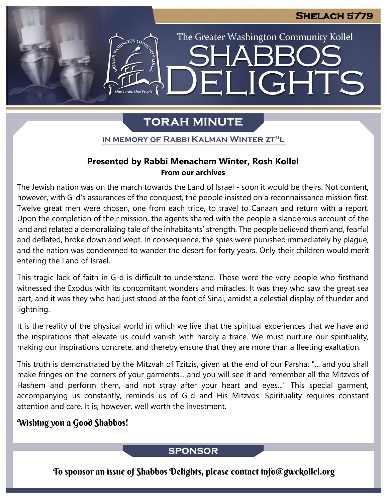## **Shelach 5779**

The Greater Washington Community Kollel

ELIGHTS

## **TORAH MINUTE**

IN MEMORY OF RABBI KALMAN WINTER ZT"L

## **Presented by Rabbi Menachem Winter, Rosh Kollel From our archives**

The Jewish nation was on the march towards the Land of Israel - soon it would be theirs. Not content, however, with G-d's assurances of the conquest, the people insisted on a reconnaissance mission first. Twelve great men were chosen, one from each tribe, to travel to Canaan and return with a report. Upon the completion of their mission, the agents shared with the people a slanderous account of the land and related a demoralizing tale of the inhabitants' strength. The people believed them and, fearful and deflated, broke down and wept. In consequence, the spies were punished immediately by plague, and the nation was condemned to wander the desert for forty years. Only their children would merit entering the Land of Israel.

This tragic lack of faith in G-d is difficult to understand. These were the very people who firsthand witnessed the Exodus with its concomitant wonders and miracles. It was they who saw the great sea part, and it was they who had just stood at the foot of Sinai, amidst a celestial display of thunder and lightning.

It is the reality of the physical world in which we live that the spiritual experiences that we have and the inspirations that elevate us could vanish with hardly a trace. We must nurture our spirituality, making our inspirations concrete, and thereby ensure that they are more than a fleeting exaltation.

This truth is demonstrated by the Mitzvah of Tzitzis, given at the end of our Parsha: "... and you shall make fringes on the corners of your garments... and you will see it and remember all the Mitzvos of Hashem and perform them, and not stray after your heart and eyes..." This special garment, accompanying us constantly, reminds us of G-d and His Mitzvos. Spirituality requires constant attention and care. It is, however, well worth the investment.

## Wishing you a Good Shabbos!

## **SPONSOR**

To sponsor an issue of Shabbos Delights, please contact info@gwckollel.org